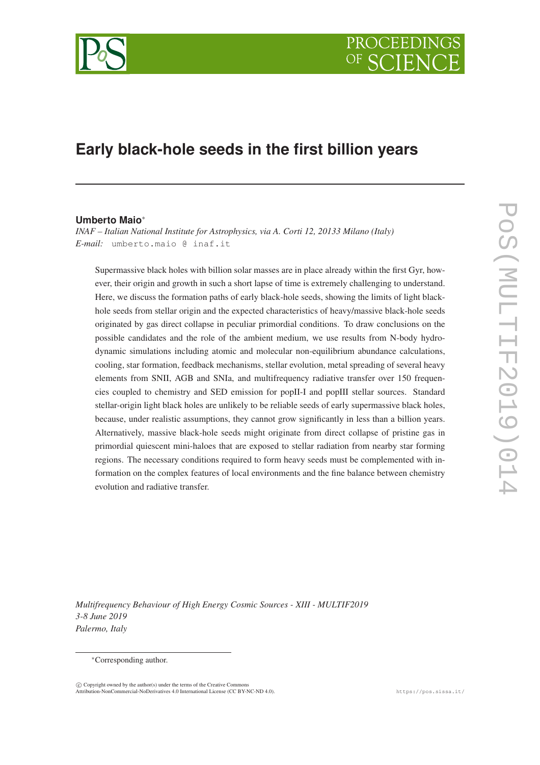

# **Early black-hole seeds in the first billion years**

### **Umberto Maio**<sup>∗</sup>

*INAF – Italian National Institute for Astrophysics, via A. Corti 12, 20133 Milano (Italy) E-mail:* umberto.maio @ inaf.it

Supermassive black holes with billion solar masses are in place already within the first Gyr, however, their origin and growth in such a short lapse of time is extremely challenging to understand. Here, we discuss the formation paths of early black-hole seeds, showing the limits of light blackhole seeds from stellar origin and the expected characteristics of heavy/massive black-hole seeds originated by gas direct collapse in peculiar primordial conditions. To draw conclusions on the possible candidates and the role of the ambient medium, we use results from N-body hydrodynamic simulations including atomic and molecular non-equilibrium abundance calculations, cooling, star formation, feedback mechanisms, stellar evolution, metal spreading of several heavy elements from SNII, AGB and SNIa, and multifrequency radiative transfer over 150 frequencies coupled to chemistry and SED emission for popII-I and popIII stellar sources. Standard stellar-origin light black holes are unlikely to be reliable seeds of early supermassive black holes, because, under realistic assumptions, they cannot grow significantly in less than a billion years. Alternatively, massive black-hole seeds might originate from direct collapse of pristine gas in primordial quiescent mini-haloes that are exposed to stellar radiation from nearby star forming regions. The necessary conditions required to form heavy seeds must be complemented with information on the complex features of local environments and the fine balance between chemistry evolution and radiative transfer.

*Multifrequency Behaviour of High Energy Cosmic Sources - XIII - MULTIF2019 3-8 June 2019 Palermo, Italy*

 $\overline{c}$  Copyright owned by the author(s) under the terms of the Creative Commons Attribution-NonCommercial-NoDerivatives 4.0 International License (CC BY-NC-ND 4.0). https://pos.sissa.it/

<sup>∗</sup>Corresponding author.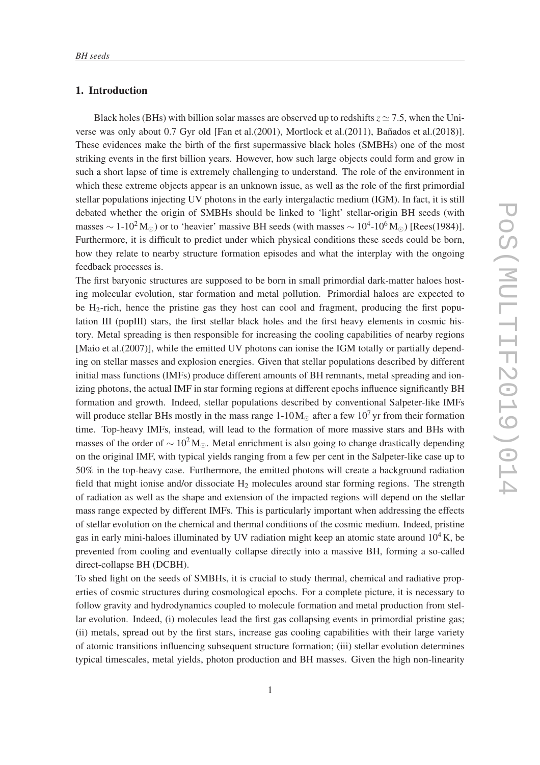# 1. Introduction

Black holes (BHs) with billion solar masses are observed up to redshifts  $z \approx 7.5$ , when the Universe was only about 0.7 Gyr old [Fan et al.(2001), Mortlock et al.(2011), Bañados et al.(2018)]. These evidences make the birth of the first supermassive black holes (SMBHs) one of the most striking events in the first billion years. However, how such large objects could form and grow in such a short lapse of time is extremely challenging to understand. The role of the environment in which these extreme objects appear is an unknown issue, as well as the role of the first primordial stellar populations injecting UV photons in the early intergalactic medium (IGM). In fact, it is still debated whether the origin of SMBHs should be linked to 'light' stellar-origin BH seeds (with masses  $\sim 1$ -10<sup>2</sup>M<sub>☉</sub>) or to 'heavier' massive BH seeds (with masses  $\sim 10^4$ -10<sup>6</sup>M<sub>☉</sub>) [Rees(1984)]. Furthermore, it is difficult to predict under which physical conditions these seeds could be born, how they relate to nearby structure formation episodes and what the interplay with the ongoing feedback processes is.

The first baryonic structures are supposed to be born in small primordial dark-matter haloes hosting molecular evolution, star formation and metal pollution. Primordial haloes are expected to be  $H_2$ -rich, hence the pristine gas they host can cool and fragment, producing the first population III (popIII) stars, the first stellar black holes and the first heavy elements in cosmic history. Metal spreading is then responsible for increasing the cooling capabilities of nearby regions [Maio et al.(2007)], while the emitted UV photons can ionise the IGM totally or partially depending on stellar masses and explosion energies. Given that stellar populations described by different initial mass functions (IMFs) produce different amounts of BH remnants, metal spreading and ionizing photons, the actual IMF in star forming regions at different epochs influence significantly BH formation and growth. Indeed, stellar populations described by conventional Salpeter-like IMFs will produce stellar BHs mostly in the mass range  $1-10M_{\odot}$  after a few  $10^{7}$  yr from their formation time. Top-heavy IMFs, instead, will lead to the formation of more massive stars and BHs with masses of the order of  $\sim 10^2 M_{\odot}$ . Metal enrichment is also going to change drastically depending on the original IMF, with typical yields ranging from a few per cent in the Salpeter-like case up to 50% in the top-heavy case. Furthermore, the emitted photons will create a background radiation field that might ionise and/or dissociate  $H_2$  molecules around star forming regions. The strength of radiation as well as the shape and extension of the impacted regions will depend on the stellar mass range expected by different IMFs. This is particularly important when addressing the effects of stellar evolution on the chemical and thermal conditions of the cosmic medium. Indeed, pristine gas in early mini-haloes illuminated by UV radiation might keep an atomic state around  $10^4$ K, be prevented from cooling and eventually collapse directly into a massive BH, forming a so-called direct-collapse BH (DCBH).

To shed light on the seeds of SMBHs, it is crucial to study thermal, chemical and radiative properties of cosmic structures during cosmological epochs. For a complete picture, it is necessary to follow gravity and hydrodynamics coupled to molecule formation and metal production from stellar evolution. Indeed, (i) molecules lead the first gas collapsing events in primordial pristine gas; (ii) metals, spread out by the first stars, increase gas cooling capabilities with their large variety of atomic transitions influencing subsequent structure formation; (iii) stellar evolution determines typical timescales, metal yields, photon production and BH masses. Given the high non-linearity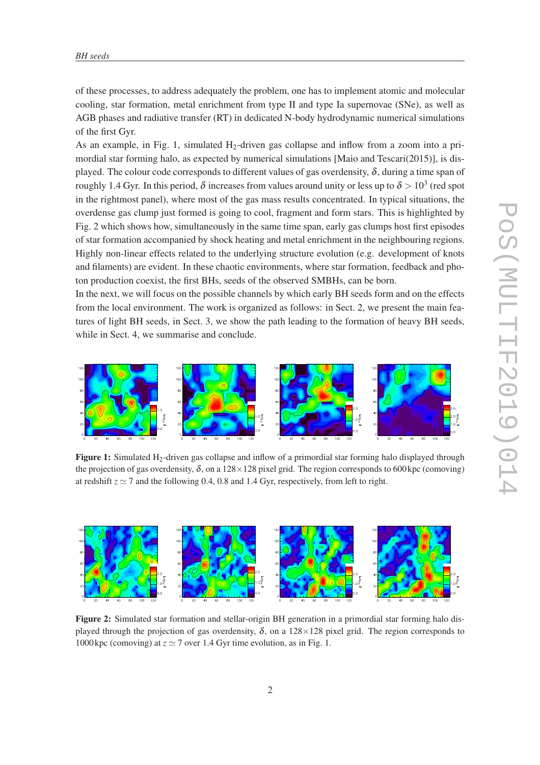of these processes, to address adequately the problem, one has to implement atomic and molecular cooling, star formation, metal enrichment from type II and type Ia supernovae (SNe), as well as AGB phases and radiative transfer (RT) in dedicated N-body hydrodynamic numerical simulations of the first Gyr.

As an example, in Fig. 1, simulated  $H_2$ -driven gas collapse and inflow from a zoom into a primordial star forming halo, as expected by numerical simulations [Maio and Tescari(2015)], is displayed. The colour code corresponds to different values of gas overdensity,  $\delta$ , during a time span of roughly 1.4 Gyr. In this period,  $\delta$  increases from values around unity or less up to  $\delta$   $>$  10<sup>3</sup> (red spot in the rightmost panel), where most of the gas mass results concentrated. In typical situations, the overdense gas clump just formed is going to cool, fragment and form stars. This is highlighted by Fig. 2 which shows how, simultaneously in the same time span, early gas clumps host first episodes of star formation accompanied by shock heating and metal enrichment in the neighbouring regions. Highly non-linear effects related to the underlying structure evolution (e.g. development of knots and filaments) are evident. In these chaotic environments, where star formation, feedback and photon production coexist, the first BHs, seeds of the observed SMBHs, can be born.

In the next, we will focus on the possible channels by which early BH seeds form and on the effects from the local environment. The work is organized as follows: in Sect. 2, we present the main features of light BH seeds, in Sect. 3, we show the path leading to the formation of heavy BH seeds, while in Sect. 4, we summarise and conclude.



Figure 1: Simulated H<sub>2</sub>-driven gas collapse and inflow of a primordial star forming halo displayed through the projection of gas overdensity,  $\delta$ , on a 128  $\times$  128 pixel grid. The region corresponds to 600 kpc (comoving) at redshift  $z \approx 7$  and the following 0.4, 0.8 and 1.4 Gyr, respectively, from left to right.



Figure 2: Simulated star formation and stellar-origin BH generation in a primordial star forming halo displayed through the projection of gas overdensity,  $\delta$ , on a 128×128 pixel grid. The region corresponds to 1000 kpc (comoving) at  $z \approx 7$  over 1.4 Gyr time evolution, as in Fig. 1.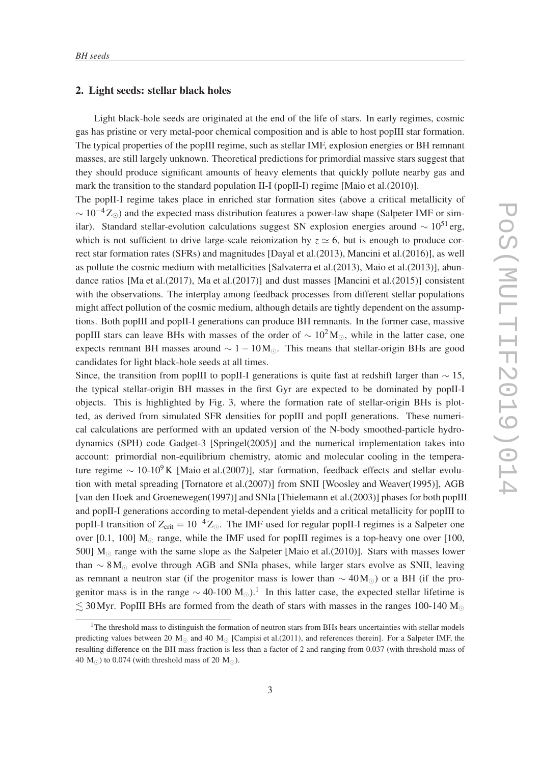#### 2. Light seeds: stellar black holes

Light black-hole seeds are originated at the end of the life of stars. In early regimes, cosmic gas has pristine or very metal-poor chemical composition and is able to host popIII star formation. The typical properties of the popIII regime, such as stellar IMF, explosion energies or BH remnant masses, are still largely unknown. Theoretical predictions for primordial massive stars suggest that they should produce significant amounts of heavy elements that quickly pollute nearby gas and mark the transition to the standard population II-I (popII-I) regime [Maio et al.(2010)].

The popII-I regime takes place in enriched star formation sites (above a critical metallicity of  $\sim 10^{-4} Z_{\odot}$ ) and the expected mass distribution features a power-law shape (Salpeter IMF or similar). Standard stellar-evolution calculations suggest SN explosion energies around  $\sim 10^{51}$  erg, which is not sufficient to drive large-scale reionization by  $z \approx 6$ , but is enough to produce correct star formation rates (SFRs) and magnitudes [Dayal et al.(2013), Mancini et al.(2016)], as well as pollute the cosmic medium with metallicities [Salvaterra et al.(2013), Maio et al.(2013)], abundance ratios [Ma et al.(2017), Ma et al.(2017)] and dust masses [Mancini et al.(2015)] consistent with the observations. The interplay among feedback processes from different stellar populations might affect pollution of the cosmic medium, although details are tightly dependent on the assumptions. Both popIII and popII-I generations can produce BH remnants. In the former case, massive popIII stars can leave BHs with masses of the order of  $\sim 10^2 \text{M}_{\odot}$ , while in the latter case, one expects remnant BH masses around  $\sim 1 - 10 M_{\odot}$ . This means that stellar-origin BHs are good candidates for light black-hole seeds at all times.

Since, the transition from popIII to popII-I generations is quite fast at redshift larger than  $\sim$  15, the typical stellar-origin BH masses in the first Gyr are expected to be dominated by popII-I objects. This is highlighted by Fig. 3, where the formation rate of stellar-origin BHs is plotted, as derived from simulated SFR densities for popIII and popII generations. These numerical calculations are performed with an updated version of the N-body smoothed-particle hydrodynamics (SPH) code Gadget-3 [Springel(2005)] and the numerical implementation takes into account: primordial non-equilibrium chemistry, atomic and molecular cooling in the temperature regime  $\sim 10$ -10<sup>9</sup> K [Maio et al.(2007)], star formation, feedback effects and stellar evolution with metal spreading [Tornatore et al.(2007)] from SNII [Woosley and Weaver(1995)], AGB [van den Hoek and Groenewegen(1997)] and SNIa [Thielemann et al.(2003)] phases for both popIII and popII-I generations according to metal-dependent yields and a critical metallicity for popIII to popII-I transition of  $Z_{\text{crit}} = 10^{-4} Z_{\odot}$ . The IMF used for regular popII-I regimes is a Salpeter one over [0.1, 100]  $M_{\odot}$  range, while the IMF used for popIII regimes is a top-heavy one over [100, 500]  $M_{\odot}$  range with the same slope as the Salpeter [Maio et al.(2010)]. Stars with masses lower than  $\sim 8$ M⊙ evolve through AGB and SNIa phases, while larger stars evolve as SNII, leaving as remnant a neutron star (if the progenitor mass is lower than  $\sim 40 M_{\odot}$ ) or a BH (if the progenitor mass is in the range  $\sim$  40-100 M<sub>☉</sub>).<sup>1</sup> In this latter case, the expected stellar lifetime is  $\lesssim$  30 Myr. PopIII BHs are formed from the death of stars with masses in the ranges 100-140 M<sub>o</sub>

 $<sup>1</sup>$ The threshold mass to distinguish the formation of neutron stars from BHs bears uncertainties with stellar models</sup> predicting values between 20 M<sub>☉</sub> and 40 M<sub>☉</sub> [Campisi et al.(2011), and references therein]. For a Salpeter IMF, the resulting difference on the BH mass fraction is less than a factor of 2 and ranging from 0.037 (with threshold mass of 40  $M_{\odot}$ ) to 0.074 (with threshold mass of 20  $M_{\odot}$ ).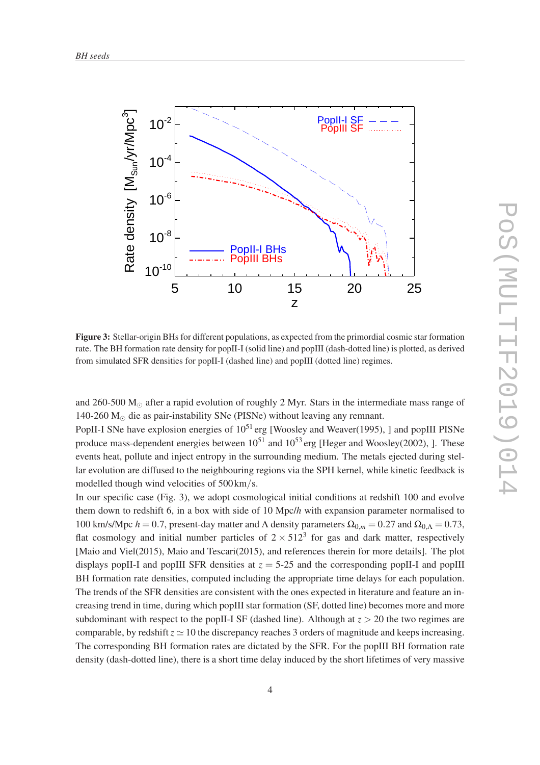

Figure 3: Stellar-origin BHs for different populations, as expected from the primordial cosmic star formation rate. The BH formation rate density for popII-I (solid line) and popIII (dash-dotted line) is plotted, as derived from simulated SFR densities for popII-I (dashed line) and popIII (dotted line) regimes.

and 260-500  $M_{\odot}$  after a rapid evolution of roughly 2 Myr. Stars in the intermediate mass range of 140-260  $M_{\odot}$  die as pair-instability SNe (PISNe) without leaving any remnant.

PopII-I SNe have explosion energies of  $10^{51}$  erg [Woosley and Weaver(1995), ] and popIII PISNe produce mass-dependent energies between  $10^{51}$  and  $10^{53}$  erg [Heger and Woosley(2002), ]. These events heat, pollute and inject entropy in the surrounding medium. The metals ejected during stellar evolution are diffused to the neighbouring regions via the SPH kernel, while kinetic feedback is modelled though wind velocities of 500 km/s.

In our specific case (Fig. 3), we adopt cosmological initial conditions at redshift 100 and evolve them down to redshift 6, in a box with side of 10 Mpc/*h* with expansion parameter normalised to 100 km/s/Mpc  $h = 0.7$ , present-day matter and Λ density parameters  $\Omega_{0,m} = 0.27$  and  $\Omega_{0,\Lambda} = 0.73$ , flat cosmology and initial number particles of  $2 \times 512^3$  for gas and dark matter, respectively [Maio and Viel(2015), Maio and Tescari(2015), and references therein for more details]. The plot displays popII-I and popIII SFR densities at  $z = 5{\text -}25$  and the corresponding popII-I and popIII BH formation rate densities, computed including the appropriate time delays for each population. The trends of the SFR densities are consistent with the ones expected in literature and feature an increasing trend in time, during which popIII star formation (SF, dotted line) becomes more and more subdominant with respect to the popII-I SF (dashed line). Although at  $z > 20$  the two regimes are comparable, by redshift  $z \approx 10$  the discrepancy reaches 3 orders of magnitude and keeps increasing. The corresponding BH formation rates are dictated by the SFR. For the popIII BH formation rate density (dash-dotted line), there is a short time delay induced by the short lifetimes of very massive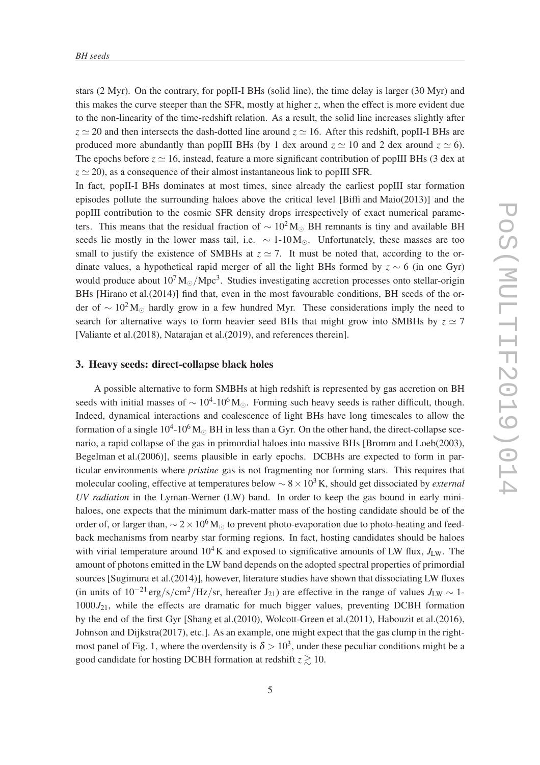stars (2 Myr). On the contrary, for popII-I BHs (solid line), the time delay is larger (30 Myr) and this makes the curve steeper than the SFR, mostly at higher *z*, when the effect is more evident due to the non-linearity of the time-redshift relation. As a result, the solid line increases slightly after  $z \approx 20$  and then intersects the dash-dotted line around  $z \approx 16$ . After this redshift, popII-I BHs are produced more abundantly than popIII BHs (by 1 dex around  $z \approx 10$  and 2 dex around  $z \approx 6$ ). The epochs before  $z \approx 16$ , instead, feature a more significant contribution of popIII BHs (3 dex at  $z \approx 20$ ), as a consequence of their almost instantaneous link to popIII SFR.

In fact, popII-I BHs dominates at most times, since already the earliest popIII star formation episodes pollute the surrounding haloes above the critical level [Biffi and Maio(2013)] and the popIII contribution to the cosmic SFR density drops irrespectively of exact numerical parameters. This means that the residual fraction of  $\sim 10^2 M_{\odot}$  BH remnants is tiny and available BH seeds lie mostly in the lower mass tail, i.e.  $\sim 1$ -10 $M_{\odot}$ . Unfortunately, these masses are too small to justify the existence of SMBHs at  $z \approx 7$ . It must be noted that, according to the ordinate values, a hypothetical rapid merger of all the light BHs formed by *z* ∼ 6 (in one Gyr) would produce about  $10^7 M_{\odot} /$ Mpc<sup>3</sup>. Studies investigating accretion processes onto stellar-origin BHs [Hirano et al.(2014)] find that, even in the most favourable conditions, BH seeds of the order of  $\sim 10^2$  M<sub>☉</sub> hardly grow in a few hundred Myr. These considerations imply the need to search for alternative ways to form heavier seed BHs that might grow into SMBHs by  $z \approx 7$ [Valiante et al.(2018), Natarajan et al.(2019), and references therein].

#### 3. Heavy seeds: direct-collapse black holes

A possible alternative to form SMBHs at high redshift is represented by gas accretion on BH seeds with initial masses of  $\sim 10^4$ -10<sup>6</sup>M<sub>☉</sub>. Forming such heavy seeds is rather difficult, though. Indeed, dynamical interactions and coalescence of light BHs have long timescales to allow the formation of a single 10<sup>4</sup>-10<sup>6</sup>M<sub>☉</sub> BH in less than a Gyr. On the other hand, the direct-collapse scenario, a rapid collapse of the gas in primordial haloes into massive BHs [Bromm and Loeb(2003), Begelman et al.(2006)], seems plausible in early epochs. DCBHs are expected to form in particular environments where *pristine* gas is not fragmenting nor forming stars. This requires that molecular cooling, effective at temperatures below ∼ 8×10<sup>3</sup> K, should get dissociated by *external UV radiation* in the Lyman-Werner (LW) band. In order to keep the gas bound in early minihaloes, one expects that the minimum dark-matter mass of the hosting candidate should be of the order of, or larger than,  $\sim 2 \times 10^6$  M<sub>☉</sub> to prevent photo-evaporation due to photo-heating and feedback mechanisms from nearby star forming regions. In fact, hosting candidates should be haloes with virial temperature around  $10^4$  K and exposed to significative amounts of LW flux,  $J_{\text{LW}}$ . The amount of photons emitted in the LW band depends on the adopted spectral properties of primordial sources [Sugimura et al.(2014)], however, literature studies have shown that dissociating LW fluxes (in units of  $10^{-21} \text{ erg/s/cm}^2/\text{Hz/sr}$ , hereafter *J*<sub>21</sub>) are effective in the range of values *J*<sub>LW</sub> ~ 1- $1000J_{21}$ , while the effects are dramatic for much bigger values, preventing DCBH formation by the end of the first Gyr [Shang et al.(2010), Wolcott-Green et al.(2011), Habouzit et al.(2016), Johnson and Dijkstra(2017), etc.]. As an example, one might expect that the gas clump in the rightmost panel of Fig. 1, where the overdensity is  $\delta > 10^3$ , under these peculiar conditions might be a good candidate for hosting DCBH formation at redshift  $z \gtrsim 10$ .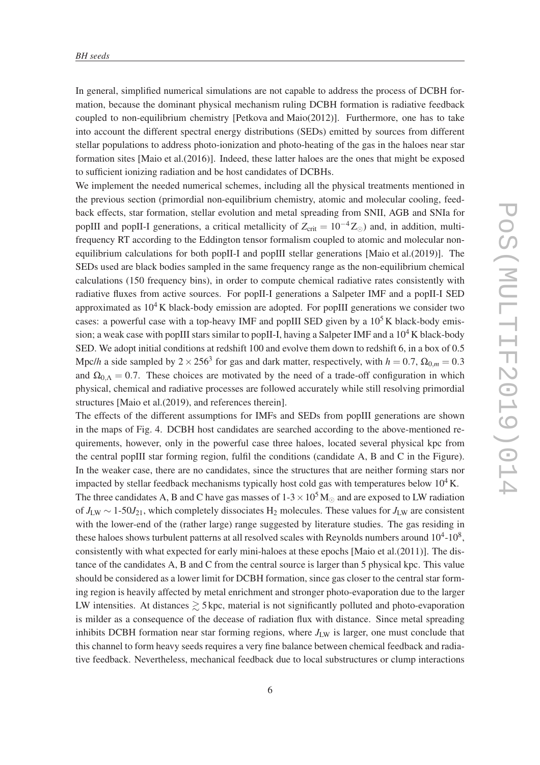In general, simplified numerical simulations are not capable to address the process of DCBH formation, because the dominant physical mechanism ruling DCBH formation is radiative feedback coupled to non-equilibrium chemistry [Petkova and Maio(2012)]. Furthermore, one has to take into account the different spectral energy distributions (SEDs) emitted by sources from different stellar populations to address photo-ionization and photo-heating of the gas in the haloes near star formation sites [Maio et al.(2016)]. Indeed, these latter haloes are the ones that might be exposed to sufficient ionizing radiation and be host candidates of DCBHs.

We implement the needed numerical schemes, including all the physical treatments mentioned in the previous section (primordial non-equilibrium chemistry, atomic and molecular cooling, feedback effects, star formation, stellar evolution and metal spreading from SNII, AGB and SNIa for popIII and popII-I generations, a critical metallicity of  $Z_{\text{crit}} = 10^{-4} Z_{\odot}$ ) and, in addition, multifrequency RT according to the Eddington tensor formalism coupled to atomic and molecular nonequilibrium calculations for both popII-I and popIII stellar generations [Maio et al.(2019)]. The SEDs used are black bodies sampled in the same frequency range as the non-equilibrium chemical calculations (150 frequency bins), in order to compute chemical radiative rates consistently with radiative fluxes from active sources. For popII-I generations a Salpeter IMF and a popII-I SED approximated as  $10^4$  K black-body emission are adopted. For popIII generations we consider two cases: a powerful case with a top-heavy IMF and popIII SED given by a  $10<sup>5</sup>$ K black-body emission; a weak case with popIII stars similar to popII-I, having a Salpeter IMF and a  $10^4$ K black-body SED. We adopt initial conditions at redshift 100 and evolve them down to redshift 6, in a box of 0.5 Mpc/*h* a side sampled by  $2 \times 256^3$  for gas and dark matter, respectively, with  $h = 0.7$ ,  $\Omega_{0,m} = 0.3$ and  $\Omega_{0,\Lambda} = 0.7$ . These choices are motivated by the need of a trade-off configuration in which physical, chemical and radiative processes are followed accurately while still resolving primordial structures [Maio et al.(2019), and references therein].

The effects of the different assumptions for IMFs and SEDs from popIII generations are shown in the maps of Fig. 4. DCBH host candidates are searched according to the above-mentioned requirements, however, only in the powerful case three haloes, located several physical kpc from the central popIII star forming region, fulfil the conditions (candidate A, B and C in the Figure). In the weaker case, there are no candidates, since the structures that are neither forming stars nor impacted by stellar feedback mechanisms typically host cold gas with temperatures below  $10^4$  K. The three candidates A, B and C have gas masses of  $1-3 \times 10^5$  M<sub> $\odot$ </sub> and are exposed to LW radiation of *J*LW ∼ 1-50*J*21, which completely dissociates H<sup>2</sup> molecules. These values for *J*LW are consistent with the lower-end of the (rather large) range suggested by literature studies. The gas residing in these haloes shows turbulent patterns at all resolved scales with Reynolds numbers around  $10^4$ - $10^8$ , consistently with what expected for early mini-haloes at these epochs [Maio et al.(2011)]. The distance of the candidates A, B and C from the central source is larger than 5 physical kpc. This value should be considered as a lower limit for DCBH formation, since gas closer to the central star forming region is heavily affected by metal enrichment and stronger photo-evaporation due to the larger LW intensities. At distances  $\geq 5$  kpc, material is not significantly polluted and photo-evaporation is milder as a consequence of the decease of radiation flux with distance. Since metal spreading inhibits DCBH formation near star forming regions, where  $J_{LW}$  is larger, one must conclude that this channel to form heavy seeds requires a very fine balance between chemical feedback and radiative feedback. Nevertheless, mechanical feedback due to local substructures or clump interactions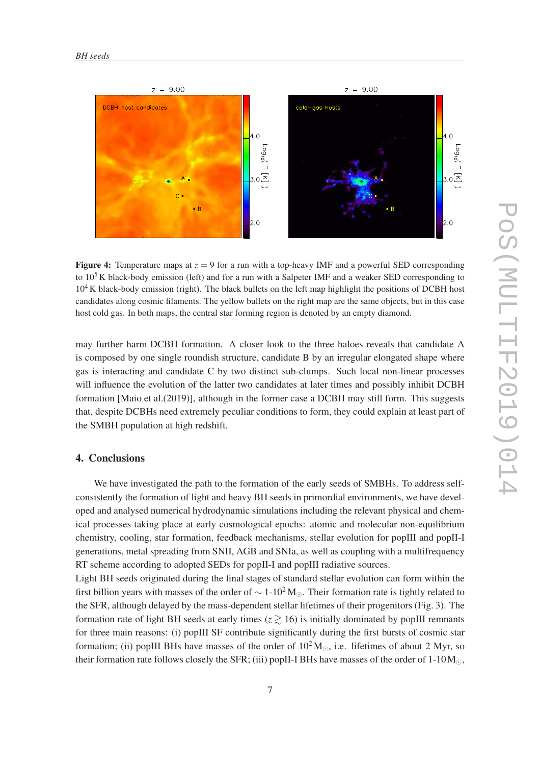

**Figure 4:** Temperature maps at  $z = 9$  for a run with a top-heavy IMF and a powerful SED corresponding to  $10<sup>5</sup>$  K black-body emission (left) and for a run with a Salpeter IMF and a weaker SED corresponding to  $10<sup>4</sup>$ K black-body emission (right). The black bullets on the left map highlight the positions of DCBH host candidates along cosmic filaments. The yellow bullets on the right map are the same objects, but in this case host cold gas. In both maps, the central star forming region is denoted by an empty diamond.

may further harm DCBH formation. A closer look to the three haloes reveals that candidate A is composed by one single roundish structure, candidate B by an irregular elongated shape where gas is interacting and candidate C by two distinct sub-clumps. Such local non-linear processes will influence the evolution of the latter two candidates at later times and possibly inhibit DCBH formation [Maio et al.(2019)], although in the former case a DCBH may still form. This suggests that, despite DCBHs need extremely peculiar conditions to form, they could explain at least part of the SMBH population at high redshift.

#### 4. Conclusions

We have investigated the path to the formation of the early seeds of SMBHs. To address selfconsistently the formation of light and heavy BH seeds in primordial environments, we have developed and analysed numerical hydrodynamic simulations including the relevant physical and chemical processes taking place at early cosmological epochs: atomic and molecular non-equilibrium chemistry, cooling, star formation, feedback mechanisms, stellar evolution for popIII and popII-I generations, metal spreading from SNII, AGB and SNIa, as well as coupling with a multifrequency RT scheme according to adopted SEDs for popII-I and popIII radiative sources.

Light BH seeds originated during the final stages of standard stellar evolution can form within the first billion years with masses of the order of  $\sim 1\times10^2 M_{\odot}$ . Their formation rate is tightly related to the SFR, although delayed by the mass-dependent stellar lifetimes of their progenitors (Fig. 3). The formation rate of light BH seeds at early times  $(z \ge 16)$  is initially dominated by popIII remnants for three main reasons: (i) popIII SF contribute significantly during the first bursts of cosmic star formation; (ii) popIII BHs have masses of the order of  $10^2 M_{\odot}$ , i.e. lifetimes of about 2 Myr, so their formation rate follows closely the SFR; (iii) popII-I BHs have masses of the order of  $1-10M_{\odot}$ ,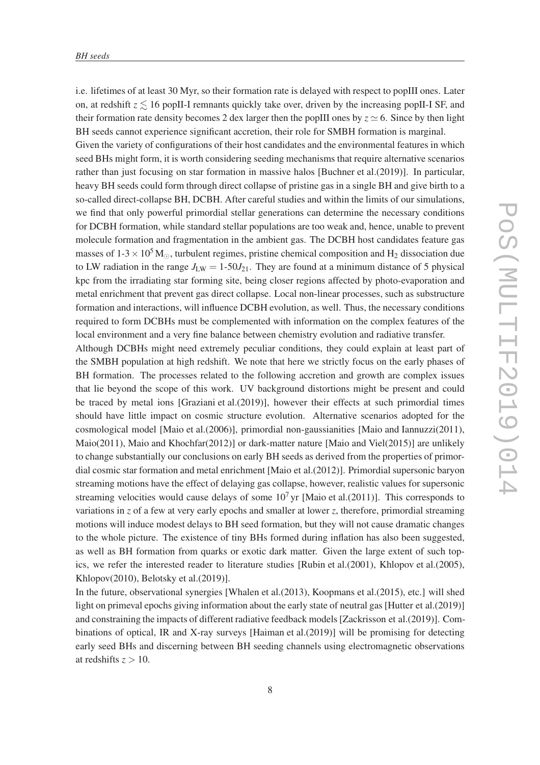i.e. lifetimes of at least 30 Myr, so their formation rate is delayed with respect to popIII ones. Later on, at redshift  $z \leq 16$  popII-I remnants quickly take over, driven by the increasing popII-I SF, and their formation rate density becomes 2 dex larger then the popIII ones by  $z \approx 6$ . Since by then light BH seeds cannot experience significant accretion, their role for SMBH formation is marginal. Given the variety of configurations of their host candidates and the environmental features in which seed BHs might form, it is worth considering seeding mechanisms that require alternative scenarios rather than just focusing on star formation in massive halos [Buchner et al.(2019)]. In particular, heavy BH seeds could form through direct collapse of pristine gas in a single BH and give birth to a so-called direct-collapse BH, DCBH. After careful studies and within the limits of our simulations, we find that only powerful primordial stellar generations can determine the necessary conditions for DCBH formation, while standard stellar populations are too weak and, hence, unable to prevent molecule formation and fragmentation in the ambient gas. The DCBH host candidates feature gas masses of  $1-3 \times 10^5$  M<sub>☉</sub>, turbulent regimes, pristine chemical composition and H<sub>2</sub> dissociation due to LW radiation in the range  $J_{LW} = 1-50J_{21}$ . They are found at a minimum distance of 5 physical kpc from the irradiating star forming site, being closer regions affected by photo-evaporation and metal enrichment that prevent gas direct collapse. Local non-linear processes, such as substructure formation and interactions, will influence DCBH evolution, as well. Thus, the necessary conditions required to form DCBHs must be complemented with information on the complex features of the local environment and a very fine balance between chemistry evolution and radiative transfer.

Although DCBHs might need extremely peculiar conditions, they could explain at least part of the SMBH population at high redshift. We note that here we strictly focus on the early phases of BH formation. The processes related to the following accretion and growth are complex issues that lie beyond the scope of this work. UV background distortions might be present and could be traced by metal ions [Graziani et al.(2019)], however their effects at such primordial times should have little impact on cosmic structure evolution. Alternative scenarios adopted for the cosmological model [Maio et al.(2006)], primordial non-gaussianities [Maio and Iannuzzi(2011), Maio(2011), Maio and Khochfar(2012)] or dark-matter nature [Maio and Viel(2015)] are unlikely to change substantially our conclusions on early BH seeds as derived from the properties of primordial cosmic star formation and metal enrichment [Maio et al.(2012)]. Primordial supersonic baryon streaming motions have the effect of delaying gas collapse, however, realistic values for supersonic streaming velocities would cause delays of some  $10<sup>7</sup>$  yr [Maio et al.(2011)]. This corresponds to variations in *z* of a few at very early epochs and smaller at lower *z*, therefore, primordial streaming motions will induce modest delays to BH seed formation, but they will not cause dramatic changes to the whole picture. The existence of tiny BHs formed during inflation has also been suggested, as well as BH formation from quarks or exotic dark matter. Given the large extent of such topics, we refer the interested reader to literature studies [Rubin et al.(2001), Khlopov et al.(2005), Khlopov(2010), Belotsky et al.(2019)].

In the future, observational synergies [Whalen et al.(2013), Koopmans et al.(2015), etc.] will shed light on primeval epochs giving information about the early state of neutral gas [Hutter et al.(2019)] and constraining the impacts of different radiative feedback models [Zackrisson et al.(2019)]. Combinations of optical, IR and X-ray surveys [Haiman et al.(2019)] will be promising for detecting early seed BHs and discerning between BH seeding channels using electromagnetic observations at redshifts  $z > 10$ .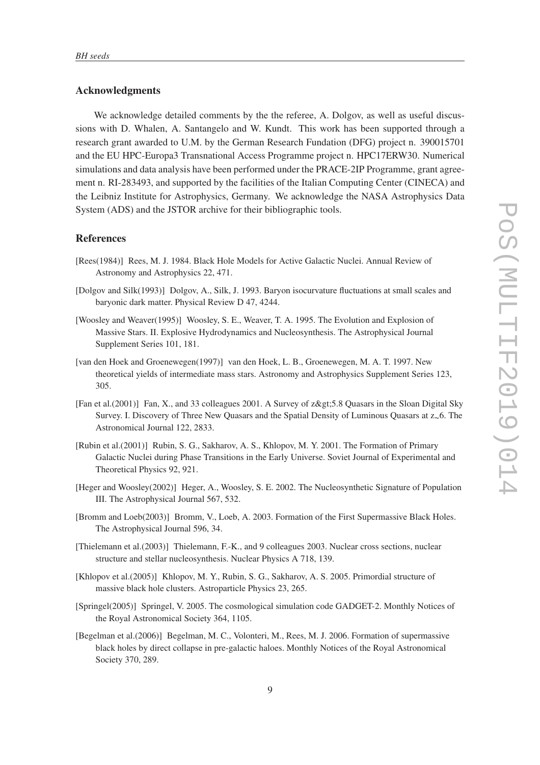## Acknowledgments

We acknowledge detailed comments by the the referee, A. Dolgov, as well as useful discussions with D. Whalen, A. Santangelo and W. Kundt. This work has been supported through a research grant awarded to U.M. by the German Research Fundation (DFG) project n. 390015701 and the EU HPC-Europa3 Transnational Access Programme project n. HPC17ERW30. Numerical simulations and data analysis have been performed under the PRACE-2IP Programme, grant agreement n. RI-283493, and supported by the facilities of the Italian Computing Center (CINECA) and the Leibniz Institute for Astrophysics, Germany. We acknowledge the NASA Astrophysics Data System (ADS) and the JSTOR archive for their bibliographic tools.

# References

- [Rees(1984)] Rees, M. J. 1984. Black Hole Models for Active Galactic Nuclei. Annual Review of Astronomy and Astrophysics 22, 471.
- [Dolgov and Silk(1993)] Dolgov, A., Silk, J. 1993. Baryon isocurvature fluctuations at small scales and baryonic dark matter. Physical Review D 47, 4244.
- [Woosley and Weaver(1995)] Woosley, S. E., Weaver, T. A. 1995. The Evolution and Explosion of Massive Stars. II. Explosive Hydrodynamics and Nucleosynthesis. The Astrophysical Journal Supplement Series 101, 181.
- [van den Hoek and Groenewegen(1997)] van den Hoek, L. B., Groenewegen, M. A. T. 1997. New theoretical yields of intermediate mass stars. Astronomy and Astrophysics Supplement Series 123, 305.
- [Fan et al.(2001)] Fan, X., and 33 colleagues 2001. A Survey of z>5.8 Quasars in the Sloan Digital Sky Survey. I. Discovery of Three New Quasars and the Spatial Density of Luminous Quasars at  $z_{\sim}6$ . The Astronomical Journal 122, 2833.
- [Rubin et al.(2001)] Rubin, S. G., Sakharov, A. S., Khlopov, M. Y. 2001. The Formation of Primary Galactic Nuclei during Phase Transitions in the Early Universe. Soviet Journal of Experimental and Theoretical Physics 92, 921.
- [Heger and Woosley(2002)] Heger, A., Woosley, S. E. 2002. The Nucleosynthetic Signature of Population III. The Astrophysical Journal 567, 532.
- [Bromm and Loeb(2003)] Bromm, V., Loeb, A. 2003. Formation of the First Supermassive Black Holes. The Astrophysical Journal 596, 34.
- [Thielemann et al.(2003)] Thielemann, F.-K., and 9 colleagues 2003. Nuclear cross sections, nuclear structure and stellar nucleosynthesis. Nuclear Physics A 718, 139.
- [Khlopov et al.(2005)] Khlopov, M. Y., Rubin, S. G., Sakharov, A. S. 2005. Primordial structure of massive black hole clusters. Astroparticle Physics 23, 265.
- [Springel(2005)] Springel, V. 2005. The cosmological simulation code GADGET-2. Monthly Notices of the Royal Astronomical Society 364, 1105.
- [Begelman et al.(2006)] Begelman, M. C., Volonteri, M., Rees, M. J. 2006. Formation of supermassive black holes by direct collapse in pre-galactic haloes. Monthly Notices of the Royal Astronomical Society 370, 289.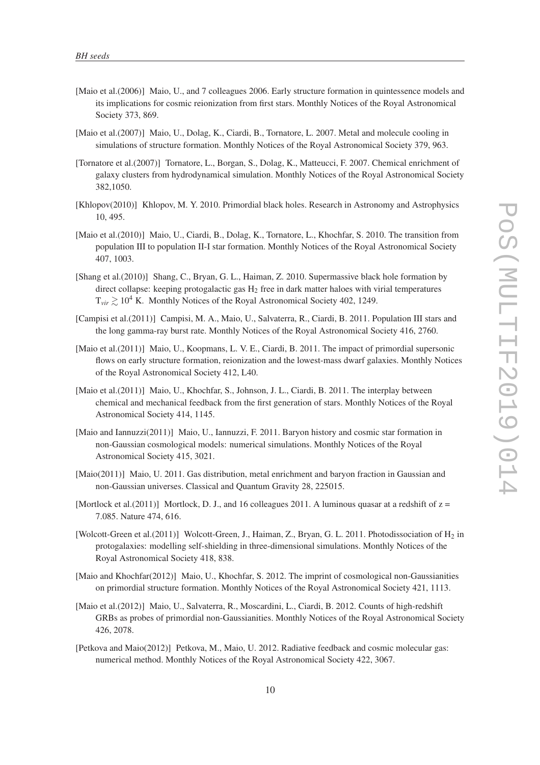- [Maio et al.(2006)] Maio, U., and 7 colleagues 2006. Early structure formation in quintessence models and its implications for cosmic reionization from first stars. Monthly Notices of the Royal Astronomical Society 373, 869.
- [Maio et al.(2007)] Maio, U., Dolag, K., Ciardi, B., Tornatore, L. 2007. Metal and molecule cooling in simulations of structure formation. Monthly Notices of the Royal Astronomical Society 379, 963.
- [Tornatore et al.(2007)] Tornatore, L., Borgan, S., Dolag, K., Matteucci, F. 2007. Chemical enrichment of galaxy clusters from hydrodynamical simulation. Monthly Notices of the Royal Astronomical Society 382,1050.
- [Khlopov(2010)] Khlopov, M. Y. 2010. Primordial black holes. Research in Astronomy and Astrophysics 10, 495.
- [Maio et al.(2010)] Maio, U., Ciardi, B., Dolag, K., Tornatore, L., Khochfar, S. 2010. The transition from population III to population II-I star formation. Monthly Notices of the Royal Astronomical Society 407, 1003.
- [Shang et al.(2010)] Shang, C., Bryan, G. L., Haiman, Z. 2010. Supermassive black hole formation by direct collapse: keeping protogalactic gas  $H_2$  free in dark matter haloes with virial temperatures  $T_{vir} \geq 10^4$  K. Monthly Notices of the Royal Astronomical Society 402, 1249.
- [Campisi et al.(2011)] Campisi, M. A., Maio, U., Salvaterra, R., Ciardi, B. 2011. Population III stars and the long gamma-ray burst rate. Monthly Notices of the Royal Astronomical Society 416, 2760.
- [Maio et al.(2011)] Maio, U., Koopmans, L. V. E., Ciardi, B. 2011. The impact of primordial supersonic flows on early structure formation, reionization and the lowest-mass dwarf galaxies. Monthly Notices of the Royal Astronomical Society 412, L40.
- [Maio et al.(2011)] Maio, U., Khochfar, S., Johnson, J. L., Ciardi, B. 2011. The interplay between chemical and mechanical feedback from the first generation of stars. Monthly Notices of the Royal Astronomical Society 414, 1145.
- [Maio and Iannuzzi(2011)] Maio, U., Iannuzzi, F. 2011. Baryon history and cosmic star formation in non-Gaussian cosmological models: numerical simulations. Monthly Notices of the Royal Astronomical Society 415, 3021.
- [Maio(2011)] Maio, U. 2011. Gas distribution, metal enrichment and baryon fraction in Gaussian and non-Gaussian universes. Classical and Quantum Gravity 28, 225015.
- [Mortlock et al.(2011)] Mortlock, D. J., and 16 colleagues 2011. A luminous quasar at a redshift of  $z =$ 7.085. Nature 474, 616.
- [Wolcott-Green et al.(2011)] Wolcott-Green, J., Haiman, Z., Bryan, G. L. 2011. Photodissociation of H<sub>2</sub> in protogalaxies: modelling self-shielding in three-dimensional simulations. Monthly Notices of the Royal Astronomical Society 418, 838.
- [Maio and Khochfar(2012)] Maio, U., Khochfar, S. 2012. The imprint of cosmological non-Gaussianities on primordial structure formation. Monthly Notices of the Royal Astronomical Society 421, 1113.
- [Maio et al.(2012)] Maio, U., Salvaterra, R., Moscardini, L., Ciardi, B. 2012. Counts of high-redshift GRBs as probes of primordial non-Gaussianities. Monthly Notices of the Royal Astronomical Society 426, 2078.
- [Petkova and Maio(2012)] Petkova, M., Maio, U. 2012. Radiative feedback and cosmic molecular gas: numerical method. Monthly Notices of the Royal Astronomical Society 422, 3067.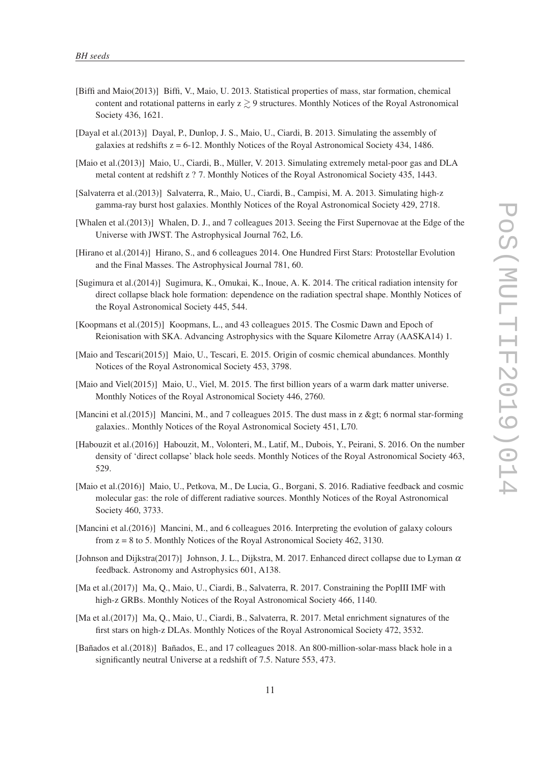- [Biffi and Maio(2013)] Biffi, V., Maio, U. 2013. Statistical properties of mass, star formation, chemical content and rotational patterns in early  $z \gtrsim 9$  structures. Monthly Notices of the Royal Astronomical Society 436, 1621.
- [Dayal et al.(2013)] Dayal, P., Dunlop, J. S., Maio, U., Ciardi, B. 2013. Simulating the assembly of galaxies at redshifts  $z = 6-12$ . Monthly Notices of the Royal Astronomical Society 434, 1486.
- [Maio et al.(2013)] Maio, U., Ciardi, B., Müller, V. 2013. Simulating extremely metal-poor gas and DLA metal content at redshift z ? 7. Monthly Notices of the Royal Astronomical Society 435, 1443.
- [Salvaterra et al.(2013)] Salvaterra, R., Maio, U., Ciardi, B., Campisi, M. A. 2013. Simulating high-z gamma-ray burst host galaxies. Monthly Notices of the Royal Astronomical Society 429, 2718.
- [Whalen et al.(2013)] Whalen, D. J., and 7 colleagues 2013. Seeing the First Supernovae at the Edge of the Universe with JWST. The Astrophysical Journal 762, L6.
- [Hirano et al.(2014)] Hirano, S., and 6 colleagues 2014. One Hundred First Stars: Protostellar Evolution and the Final Masses. The Astrophysical Journal 781, 60.
- [Sugimura et al.(2014)] Sugimura, K., Omukai, K., Inoue, A. K. 2014. The critical radiation intensity for direct collapse black hole formation: dependence on the radiation spectral shape. Monthly Notices of the Royal Astronomical Society 445, 544.
- [Koopmans et al.(2015)] Koopmans, L., and 43 colleagues 2015. The Cosmic Dawn and Epoch of Reionisation with SKA. Advancing Astrophysics with the Square Kilometre Array (AASKA14) 1.
- [Maio and Tescari(2015)] Maio, U., Tescari, E. 2015. Origin of cosmic chemical abundances. Monthly Notices of the Royal Astronomical Society 453, 3798.
- [Maio and Viel(2015)] Maio, U., Viel, M. 2015. The first billion years of a warm dark matter universe. Monthly Notices of the Royal Astronomical Society 446, 2760.
- [Mancini et al.(2015)] Mancini, M., and 7 colleagues 2015. The dust mass in z > 6 normal star-forming galaxies.. Monthly Notices of the Royal Astronomical Society 451, L70.
- [Habouzit et al.(2016)] Habouzit, M., Volonteri, M., Latif, M., Dubois, Y., Peirani, S. 2016. On the number density of 'direct collapse' black hole seeds. Monthly Notices of the Royal Astronomical Society 463, 529.
- [Maio et al.(2016)] Maio, U., Petkova, M., De Lucia, G., Borgani, S. 2016. Radiative feedback and cosmic molecular gas: the role of different radiative sources. Monthly Notices of the Royal Astronomical Society 460, 3733.
- [Mancini et al.(2016)] Mancini, M., and 6 colleagues 2016. Interpreting the evolution of galaxy colours from  $z = 8$  to 5. Monthly Notices of the Royal Astronomical Society 462, 3130.
- [Johnson and Dijkstra(2017)] Johnson, J. L., Dijkstra, M. 2017. Enhanced direct collapse due to Lyman  $\alpha$ feedback. Astronomy and Astrophysics 601, A138.
- [Ma et al.(2017)] Ma, Q., Maio, U., Ciardi, B., Salvaterra, R. 2017. Constraining the PopIII IMF with high-z GRBs. Monthly Notices of the Royal Astronomical Society 466, 1140.
- [Ma et al.(2017)] Ma, Q., Maio, U., Ciardi, B., Salvaterra, R. 2017. Metal enrichment signatures of the first stars on high-z DLAs. Monthly Notices of the Royal Astronomical Society 472, 3532.
- [Bañados et al.(2018)] Bañados, E., and 17 colleagues 2018. An 800-million-solar-mass black hole in a significantly neutral Universe at a redshift of 7.5. Nature 553, 473.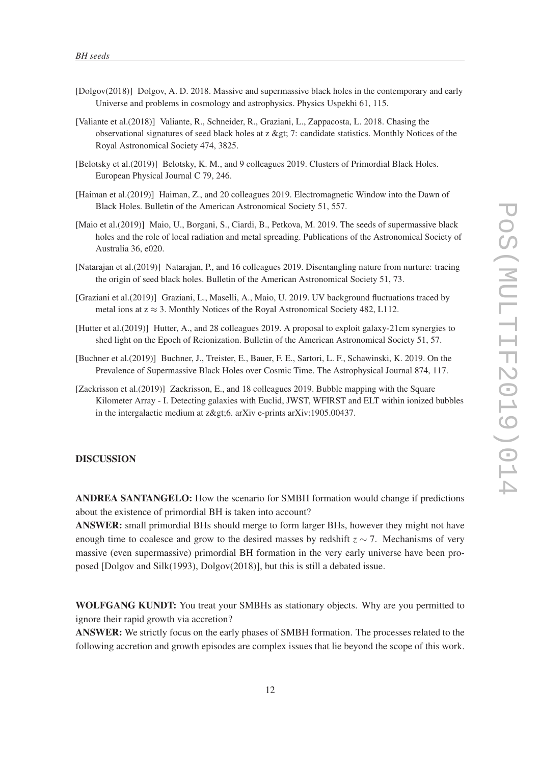- [Dolgov(2018)] Dolgov, A. D. 2018. Massive and supermassive black holes in the contemporary and early Universe and problems in cosmology and astrophysics. Physics Uspekhi 61, 115.
- [Valiante et al.(2018)] Valiante, R., Schneider, R., Graziani, L., Zappacosta, L. 2018. Chasing the observational signatures of seed black holes at  $z \> z$ ; candidate statistics. Monthly Notices of the Royal Astronomical Society 474, 3825.
- [Belotsky et al.(2019)] Belotsky, K. M., and 9 colleagues 2019. Clusters of Primordial Black Holes. European Physical Journal C 79, 246.
- [Haiman et al.(2019)] Haiman, Z., and 20 colleagues 2019. Electromagnetic Window into the Dawn of Black Holes. Bulletin of the American Astronomical Society 51, 557.
- [Maio et al.(2019)] Maio, U., Borgani, S., Ciardi, B., Petkova, M. 2019. The seeds of supermassive black holes and the role of local radiation and metal spreading. Publications of the Astronomical Society of Australia 36, e020.
- [Natarajan et al.(2019)] Natarajan, P., and 16 colleagues 2019. Disentangling nature from nurture: tracing the origin of seed black holes. Bulletin of the American Astronomical Society 51, 73.
- [Graziani et al.(2019)] Graziani, L., Maselli, A., Maio, U. 2019. UV background fluctuations traced by metal ions at  $z \approx 3$ . Monthly Notices of the Royal Astronomical Society 482, L112.
- [Hutter et al.(2019)] Hutter, A., and 28 colleagues 2019. A proposal to exploit galaxy-21cm synergies to shed light on the Epoch of Reionization. Bulletin of the American Astronomical Society 51, 57.
- [Buchner et al.(2019)] Buchner, J., Treister, E., Bauer, F. E., Sartori, L. F., Schawinski, K. 2019. On the Prevalence of Supermassive Black Holes over Cosmic Time. The Astrophysical Journal 874, 117.
- [Zackrisson et al.(2019)] Zackrisson, E., and 18 colleagues 2019. Bubble mapping with the Square Kilometer Array - I. Detecting galaxies with Euclid, JWST, WFIRST and ELT within ionized bubbles in the intergalactic medium at  $z\>gt;t$ . arXiv e-prints arXiv:1905.00437.

#### DISCUSSION

ANDREA SANTANGELO: How the scenario for SMBH formation would change if predictions about the existence of primordial BH is taken into account?

ANSWER: small primordial BHs should merge to form larger BHs, however they might not have enough time to coalesce and grow to the desired masses by redshift  $z \sim 7$ . Mechanisms of very massive (even supermassive) primordial BH formation in the very early universe have been proposed [Dolgov and Silk(1993), Dolgov(2018)], but this is still a debated issue.

WOLFGANG KUNDT: You treat your SMBHs as stationary objects. Why are you permitted to ignore their rapid growth via accretion?

ANSWER: We strictly focus on the early phases of SMBH formation. The processes related to the following accretion and growth episodes are complex issues that lie beyond the scope of this work.